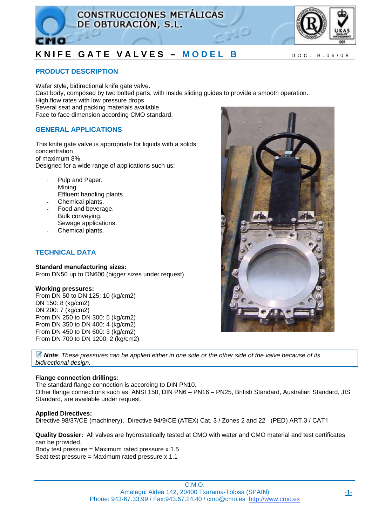



## **PRODUCT DESCRIPTION**

Wafer style, bidirectional knife gate valve. Cast body, composed by two bolted parts, with inside sliding guides to provide a smooth operation. High flow rates with low pressure drops. Several seat and packing materials available. Face to face dimension according CMO standard.

## **GENERAL APPLICATIONS**

This knife gate valve is appropriate for liquids with a solids concentration of maximum 8%. Designed for a wide range of applications such us:

- Pulp and Paper.
- Mining.
- Effluent handling plants.
- Chemical plants.
- Food and beverage.
- Bulk conveving.
- Sewage applications.
- Chemical plants.

## **TECHNICAL DATA**

### **Standard manufacturing sizes:**

From DN50 up to DN600 (bigger sizes under request)

#### **Working pressures:**

From DN 50 to DN 125: 10 (kg/cm2) DN 150: 8 (kg/cm2) DN 200: 7 (kg/cm2) From DN 250 to DN 300: 5 (kg/cm2) From DN 350 to DN 400: 4 (kg/cm2) From DN 450 to DN 600: 3 (kg/cm2) From DN 700 to DN 1200: 2 (kg/cm2)

*Note: These pressures can be applied either in one side or the other side of the valve because of its bidirectional design.* 

## **Flange connection drillings:**

The standard flange connection is according to DIN PN10.

Other flange connections such as, ANSI 150, DIN PN6 – PN16 – PN25, British Standard, Australian Standard, JIS Standard, are available under request.

#### **Applied Directives:**

Directive 98/37/CE (machinery), Directive 94/9/CE (ATEX) Cat. 3 / Zones 2 and 22 (PED) ART.3 / CAT1

**Quality Dossier:** All valves are hydrostatically tested at CMO with water and CMO material and test certificates can be provided.

Body test pressure = Maximum rated pressure  $x$  1.5 Seat test pressure = Maximum rated pressure x 1.1

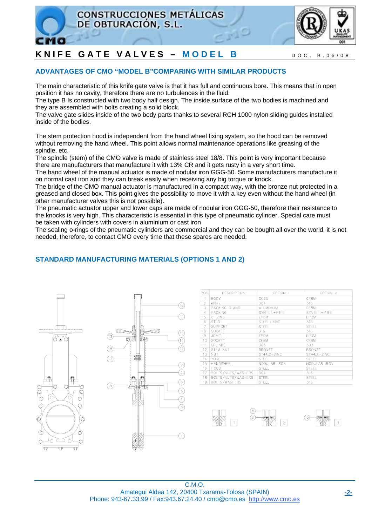



## **ADVANTAGES OF CMO "MODEL B"COMPARING WITH SIMILAR PRODUCTS**

The main characteristic of this knife gate valve is that it has full and continuous bore. This means that in open position it has no cavity, therefore there are no turbulences in the fluid.

The type B Is constructed with two body half design. The inside surface of the two bodies is machined and they are assembled with bolts creating a solid block.

The valve gate slides inside of the two body parts thanks to several RCH 1000 nylon sliding guides installed inside of the bodies.

The stem protection hood is independent from the hand wheel fixing system, so the hood can be removed without removing the hand wheel. This point allows normal maintenance operations like greasing of the spindle, etc.

The spindle (stem) of the CMO valve is made of stainless steel 18/8. This point is very important because there are manufacturers that manufacture it with 13% CR and it gets rusty in a very short time.

The hand wheel of the manual actuator is made of nodular iron GGG-50. Some manufacturers manufacture it on normal cast iron and they can break easily when receiving any big torque or knock.

The bridge of the CMO manual actuator is manufactured in a compact way, with the bronze nut protected in a greased and closed box. This point gives the possibility to move it with a key even without the hand wheel (in other manufacturer valves this is not possible).

The pneumatic actuator upper and lower caps are made of nodular iron GGG-50, therefore their resistance to the knocks is very high. This characteristic is essential in this type of pneumatic cylinder. Special care must be taken with cylinders with covers in aluminium or cast iron

The sealing o-rings of the pneumatic cylinders are commercial and they can be bought all over the world, it is not needed, therefore, to contact CMO every time that these spares are needed.

## **STANDARD MANUFACTURING MATERIALS (OPTIONS 1 AND 2)**





| POS.           | <b>DESCRIPTION</b> | OPTION 1         | OPTION <sub>2</sub> |
|----------------|--------------------|------------------|---------------------|
|                | <b>BODY</b>        | GG25             | CF <sub>8</sub> M   |
| $\overline{2}$ | <b>KNIFE</b>       | 304              | 316                 |
| 3              | PACKING GLAND      | <b>ALUMINIUM</b> | CF8M                |
| 4              | PACKING            | SYNTET.+PTFE     | SYNTET, +PTFE       |
| 5              | 0-RING             | <b>EPDM</b>      | EPDM                |
| 6              | <b>STUD</b>        | STEEL+ZINC       | 316                 |
| 7              | <b>SUPPORT</b>     | <b>STEEL</b>     | STEEL               |
| 8              | <b>SOCKET</b>      | 316              | 316                 |
| 9              | <b>JOINT</b>       | <b>EPDM</b>      | <b>EPDM</b>         |
| 10             | <b>SOCKET</b>      | CF8M             | CF8M                |
| 11             | SPLINDE            | 303              | 303                 |
| 12             | <b>STEM NUT</b>    | <b>BRONZE</b>    | <b>BRONZE</b>       |
| 13             | <b>NUT</b>         | ST44.2+ZINC      | ST44.2+ZINC         |
| 14             | <b>YOKE</b>        | <b>STEEL</b>     | <b>STEEL</b>        |
| 15             | HANDWHEEL          | NODULAR IRON     | NODULAR IRON        |
| 16             | HOOD               | <b>STEEL</b>     | <b>STEEL</b>        |
| 17             | BOLTS/NUTS/WASHERS | 304              | 316                 |
| 18             | BOLTS/NUTS/WASHERS | <b>STEEL</b>     | STEEL               |
| 19             | BOLTS/WASHERS      | <b>STEEL</b>     | 316                 |

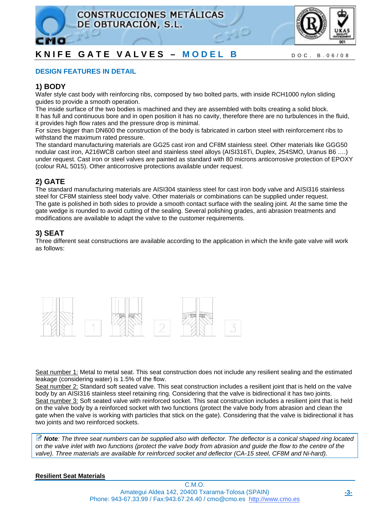



## **DESIGN FEATURES IN DETAIL**

## **1) BODY**

Wafer style cast body with reinforcing ribs, composed by two bolted parts, with inside RCH1000 nylon sliding guides to provide a smooth operation.

The inside surface of the two bodies is machined and they are assembled with bolts creating a solid block. It has full and continuous bore and in open position it has no cavity, therefore there are no turbulences in the fluid, it provides high flow rates and the pressure drop is minimal.

For sizes bigger than DN600 the construction of the body is fabricated in carbon steel with reinforcement ribs to withstand the maximum rated pressure.

The standard manufacturing materials are GG25 cast iron and CF8M stainless steel. Other materials like GGG50 nodular cast iron, A216WCB carbon steel and stainless steel alloys (AISI316Ti, Duplex, 254SMO, Uranus B6 ….) under request. Cast iron or steel valves are painted as standard with 80 microns anticorrosive protection of EPOXY (colour RAL 5015). Other anticorrosive protections available under request.

## **2) GATE**

The standard manufacturing materials are AISI304 stainless steel for cast iron body valve and AISI316 stainless steel for CF8M stainless steel body valve. Other materials or combinations can be supplied under request. The gate is polished in both sides to provide a smooth contact surface with the sealing joint. At the same time the gate wedge is rounded to avoid cutting of the sealing. Several polishing grades, anti abrasion treatments and modifications are available to adapt the valve to the customer requirements.

## **3) SEAT**

Three different seat constructions are available according to the application in which the knife gate valve will work as follows:



Seat number 1: Metal to metal seat. This seat construction does not include any resilient sealing and the estimated leakage (considering water) is 1.5% of the flow.

Seat number 2: Standard soft seated valve. This seat construction includes a resilient joint that is held on the valve body by an AISI316 stainless steel retaining ring. Considering that the valve is bidirectional it has two joints. Seat number 3: Soft seated valve with reinforced socket. This seat construction includes a resilient joint that is held on the valve body by a reinforced socket with two functions (protect the valve body from abrasion and clean the gate when the valve is working with particles that stick on the gate). Considering that the valve is bidirectional it has two joints and two reinforced sockets.

*Note: The three seat numbers can be supplied also with deflector. The deflector is a conical shaped ring located on the valve inlet with two functions (protect the valve body from abrasion and guide the flow to the centre of the*  valve). Three materials are available for reinforced socket and deflector (CA-15 steel, CF8M and Ni-hard).

## **Resilient Seat Materials**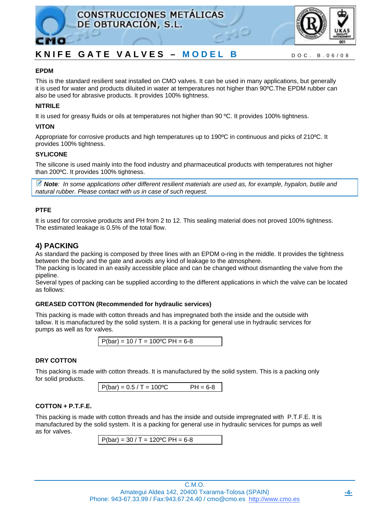



## **EPDM**

This is the standard resilient seat installed on CMO valves. It can be used in many applications, but generally it is used for water and products diluited in water at temperatures not higher than 90ºC.The EPDM rubber can also be used for abrasive products. It provides 100% tightness.

## **NITRILE**

It is used for greasy fluids or oils at temperatures not higher than 90 ºC. It provides 100% tightness.

## **VITON**

Appropriate for corrosive products and high temperatures up to 190ºC in continuous and picks of 210ºC. It provides 100% tightness.

## **SYLICONE**

The silicone is used mainly into the food industry and pharmaceutical products with temperatures not higher than 200ºC. It provides 100% tightness.

*Note: In some applications other different resilient materials are used as, for example, hypalon, butile and natural rubber. Please contact with us in case of such request.* 

## **PTFE**

It is used for corrosive products and PH from 2 to 12. This sealing material does not proved 100% tightness. The estimated leakage is 0.5% of the total flow.

## **4) PACKING**

As standard the packing is composed by three lines with an EPDM o-ring in the middle. It provides the tightness between the body and the gate and avoids any kind of leakage to the atmosphere.

The packing is located in an easily accessible place and can be changed without dismantling the valve from the pipeline.

Several types of packing can be supplied according to the different applications in which the valve can be located as follows:

## **GREASED COTTON (Recommended for hydraulic services)**

This packing is made with cotton threads and has impregnated both the inside and the outside with tallow. It is manufactured by the solid system. It is a packing for general use in hydraulic services for pumps as well as for valves.

 $P(bar) = 10 / T = 100°C PH = 6-8$ 

## **DRY COTTON**

This packing is made with cotton threads. It is manufactured by the solid system. This is a packing only for solid products.

```
P(bar) = 0.5 / T = 100°C PH = 6-8
```
## **COTTON + P.T.F.E.**

This packing is made with cotton threads and has the inside and outside impregnated with P.T.F.E. It is manufactured by the solid system. It is a packing for general use in hydraulic services for pumps as well as for valves.

```
P(bar) = 30 / T = 120°C PH = 6-8
```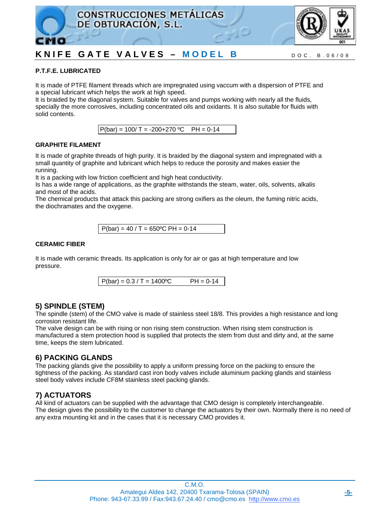



## **P.T.F.E. LUBRICATED**

It is made of PTFE filament threads which are impregnated using vaccum with a dispersion of PTFE and a special lubricant which helps the work at high speed.

It is braided by the diagonal system. Suitable for valves and pumps working with nearly all the fluids, specially the more corrosives, including concentrated oils and oxidants. It is also suitable for fluids with solid contents.

 $P(bar) = 100/T = -200+270 °C$  PH = 0-14

## **GRAPHITE FILAMENT**

It is made of graphite threads of high purity. It is braided by the diagonal system and impregnated with a small quantity of graphite and lubricant which helps to reduce the porosity and makes easier the running.

It is a packing with low friction coefficient and high heat conductivity.

Is has a wide range of applications, as the graphite withstands the steam, water, oils, solvents, alkalis and most of the acids.

The chemical products that attack this packing are strong oxifiers as the oleum, the fuming nitric acids, the diochramates and the oxygene.

 $P(bar) = 40 / T = 650°C PH = 0-14$ 

## **CERAMIC FIBER**

It is made with ceramic threads. Its application is only for air or gas at high temperature and low pressure.

 $P(bar) = 0.3 / T = 1400°C$  PH = 0-14

## **5) SPINDLE (STEM)**

The spindle (stem) of the CMO valve is made of stainless steel 18/8. This provides a high resistance and long corrosion resistant life.

The valve design can be with rising or non rising stem construction. When rising stem construction is manufactured a stem protection hood is supplied that protects the stem from dust and dirty and, at the same time, keeps the stem lubricated.

## **6) PACKING GLANDS**

The packing glands give the possibility to apply a uniform pressing force on the packing to ensure the tightness of the packing. As standard cast iron body valves include aluminium packing glands and stainless steel body valves include CF8M stainless steel packing glands.

## **7) ACTUATORS**

All kind of actuators can be supplied with the advantage that CMO design is completely interchangeable. The design gives the possibility to the customer to change the actuators by their own. Normally there is no need of any extra mounting kit and in the cases that it is necessary CMO provides it.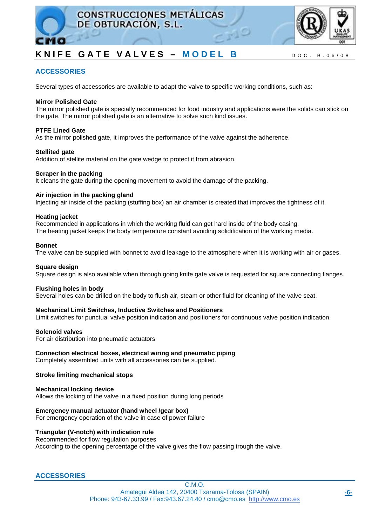



## **ACCESSORIES**

Several types of accessories are available to adapt the valve to specific working conditions, such as:

#### **Mirror Polished Gate**

The mirror polished gate is specially recommended for food industry and applications were the solids can stick on the gate. The mirror polished gate is an alternative to solve such kind issues.

#### **PTFE Lined Gate**

As the mirror polished gate, it improves the performance of the valve against the adherence.

#### **Stellited gate**

Addition of stellite material on the gate wedge to protect it from abrasion.

#### **Scraper in the packing**

It cleans the gate during the opening movement to avoid the damage of the packing.

#### **Air injection in the packing gland**

Injecting air inside of the packing (stuffing box) an air chamber is created that improves the tightness of it.

#### **Heating jacket**

Recommended in applications in which the working fluid can get hard inside of the body casing. The heating jacket keeps the body temperature constant avoiding solidification of the working media.

#### **Bonnet**

The valve can be supplied with bonnet to avoid leakage to the atmosphere when it is working with air or gases.

#### **Square design**

Square design is also available when through going knife gate valve is requested for square connecting flanges.

#### **Flushing holes in body**

Several holes can be drilled on the body to flush air, steam or other fluid for cleaning of the valve seat.

#### **Mechanical Limit Switches, Inductive Switches and Positioners**

Limit switches for punctual valve position indication and positioners for continuous valve position indication.

#### **Solenoid valves**

For air distribution into pneumatic actuators

#### **Connection electrical boxes, electrical wiring and pneumatic piping**

Completely assembled units with all accessories can be supplied.

#### **Stroke limiting mechanical stops**

**Mechanical locking device**  Allows the locking of the valve in a fixed position during long periods

#### **Emergency manual actuator (hand wheel /gear box)**

For emergency operation of the valve in case of power failure

### **Triangular (V-notch) with indication rule**

Recommended for flow regulation purposes According to the opening percentage of the valve gives the flow passing trough the valve.

## **ACCESSORIES**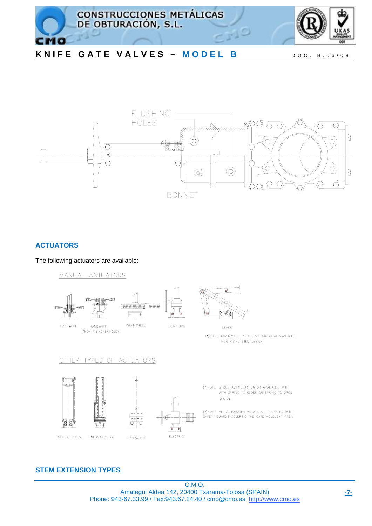



## **ACTUATORS**

The following actuators are available:

MANUAL ACTUATORS



## OTHER TYPES OF ACTUATORS









(\*)NOTE: CHAINWHEEL AND GEAR BOX ALSO AVAILABLE NON RISING STEM DESIGN

(\*)NOTE: SINGLE ACTING ACTUATOR AVAILABLE WITH WITH SPRING TO CLOSE OR SPRING TO OPEN DESIGN.

(\*)NOTE: ALL AUTOMATED VALVES ARE SUPPLIED WITH<br>SAFETY GUARDS COVERING THE GATE MOVEMENT AREA.

## **STEM EXTENSION TYPES**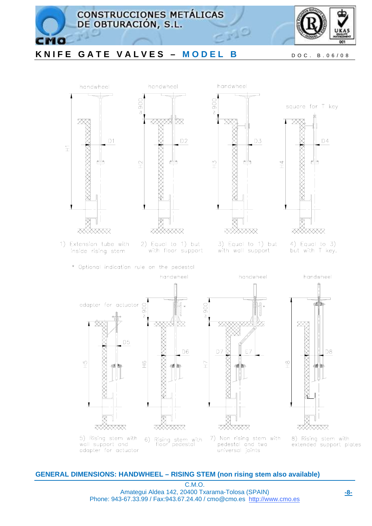









pedestal and two universal joints



8) Rising stem with<br>extended support plates

## **GENERAL DIMENSIONS: HANDWHEEL – RISING STEM (non rising stem also available)**

C.M.O. Amategui Aldea 142, 20400 Txarama-Tolosa (SPAIN) Phone: 943-67.33.99 / Fax:943.67.24.40 / cmo@cmo.es http://www.cmo.es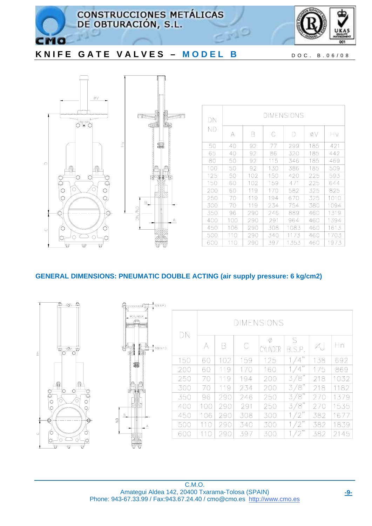

**CONSTRUCCIONES METÁLICAS** DE OBTURACIÓN, S.L.



# KNIFE GATE VALVES - MODEL B DOC. B.06/08



 $\epsilon$ 

| DΝ  | DIMENSIONS |     |     |      |     |      |  |  |  |  |
|-----|------------|-----|-----|------|-----|------|--|--|--|--|
| ΝD  | А          | B   | С   | D    | øν  | Ηv   |  |  |  |  |
| 50  | 40         | 92  | 77  | 299  | 185 | 421  |  |  |  |  |
| 65  | 40         | 92  | 86  | 320  | 185 | 442  |  |  |  |  |
| 80  | 50         | 92  | 115 | 346  | 185 | 469  |  |  |  |  |
| 100 | 50         | 92  | 130 | 386  | 185 | 509  |  |  |  |  |
| 125 | 50         | 102 | 150 | 420  | 225 | 593  |  |  |  |  |
| 150 | 60         | 102 | 159 | 471  | 225 | 644  |  |  |  |  |
| 200 | 60         | 119 | 170 | 582  | 325 | 825  |  |  |  |  |
| 250 | 70         | 119 | 194 | 670  | 325 | 1010 |  |  |  |  |
| 300 | 70         | 119 | 234 | 754  | 380 | 1094 |  |  |  |  |
| 350 | 96         | 290 | 246 | 889  | 460 | 1319 |  |  |  |  |
| 400 | 100        | 290 | 291 | 964  | 460 | 1394 |  |  |  |  |
| 450 | 106        | 290 | 308 | 1083 | 460 | 1613 |  |  |  |  |
| 500 | 110        | 290 | 340 | 1173 | 460 | 1703 |  |  |  |  |
| 600 | 110        | 290 | 397 | 1353 | 460 | 1973 |  |  |  |  |

علم

## **GENERAL DIMENSIONS: PNEUMATIC DOUBLE ACTING (air supply pressure: 6 kg/cm2)**

٠,



| (S(B.S.P.)<br>1111111                                    |     |                   |     |     |               |                                |     |      |  |  |
|----------------------------------------------------------|-----|-------------------|-----|-----|---------------|--------------------------------|-----|------|--|--|
| <b>ØCYLINDER</b><br>$\overline{\mathcal{R}^{\mu\nu\mu}}$ |     | <b>DIMENSIONS</b> |     |     |               |                                |     |      |  |  |
| S(B.S.P.)                                                | DN  | А                 | B   | C   | Ø<br>CYLINDER | S<br>B.S.P.                    | Ø,  | Ηn   |  |  |
| 霉                                                        | 150 | 60                | 102 | 159 | 125           | , ,<br>$\overline{4}$          | 138 | 692  |  |  |
|                                                          | 200 | 60                | 119 | 170 | 160           | ,,<br>$\overline{4}$           | 175 | 869  |  |  |
|                                                          | 250 | 70                | 119 | 194 | 200           | $\sqrt{8}$<br>3                | 218 | 1032 |  |  |
|                                                          | 300 | 70                | 119 | 234 | 200           | $\sqrt{8}$<br>3                | 218 | 1182 |  |  |
|                                                          | 350 | 96                | 290 | 246 | 250           | $\sqrt{8}$<br>$\overline{3}$ , | 270 | 1379 |  |  |
|                                                          | 400 | 100               | 290 | 291 | 250           | $\sqrt{8}$<br>3                | 270 | 1535 |  |  |
|                                                          | 450 | 106               | 290 | 308 | 300           | 2"                             | 382 | 1677 |  |  |
| А                                                        | 500 | 110               | 290 | 340 | 300           | ,,                             | 382 | 1839 |  |  |
|                                                          | 600 | 110               | 290 | 397 | 300           | 2"                             | 382 | 2145 |  |  |
|                                                          |     |                   |     |     |               |                                |     |      |  |  |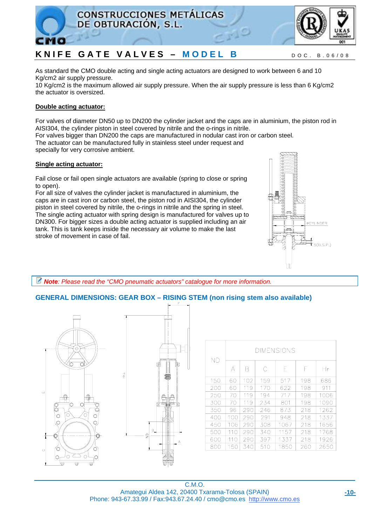



As standard the CMO double acting and single acting actuators are designed to work between 6 and 10 Kg/cm2 air supply pressure.

10 Kg/cm2 is the maximum allowed air supply pressure. When the air supply pressure is less than 6 Kg/cm2 the actuator is oversized.

## **Double acting actuator:**

For valves of diameter DN50 up to DN200 the cylinder jacket and the caps are in aluminium, the piston rod in AISI304, the cylinder piston in steel covered by nitrile and the o-rings in nitrile.

For valves bigger than DN200 the caps are manufactured in nodular cast iron or carbon steel.

The actuator can be manufactured fully in stainless steel under request and specially for very corrosive ambient.

## **Single acting actuator:**

Fail close or fail open single actuators are available (spring to close or spring to open).

For all size of valves the cylinder jacket is manufactured in aluminium, the caps are in cast iron or carbon steel, the piston rod in AISI304, the cylinder piston in steel covered by nitrile, the o-rings in nitrile and the spring in steel. The single acting actuator with spring design is manufactured for valves up to DN300. For bigger sizes a double acting actuator is supplied including an air tank. This is tank keeps inside the necessary air volume to make the last stroke of movement in case of fail.



*Note: Please read the "CMO pneumatic actuators" catalogue for more information.* 

## **GENERAL DIMENSIONS: GEAR BOX – RISING STEM (non rising stem also available)**



| ΝD  | DIMENSIONS |     |     |      |     |      |  |  |  |
|-----|------------|-----|-----|------|-----|------|--|--|--|
|     | А          | R   | C   | F    | F   | Ηr   |  |  |  |
| 150 | 60         | 102 | 159 | 517  | 198 | 686  |  |  |  |
| 200 | 60         | 119 | 170 | 622  | 198 | 911  |  |  |  |
| 250 | 70         | 119 | 194 | 717  | 198 | 1006 |  |  |  |
| 300 | 70         | 119 | 234 | 801  | 198 | 1090 |  |  |  |
| 350 | 96         | 290 | 246 | 873  | 218 | 1262 |  |  |  |
| 400 | 100        | 290 | 291 | 948  | 218 | 1337 |  |  |  |
| 450 | 106        | 290 | 308 | 1067 | 218 | 1656 |  |  |  |
| 500 | 110        | 290 | 340 | 1157 | 218 | 1768 |  |  |  |
| 600 | 110        | 290 | 397 | 1337 | 218 | 1926 |  |  |  |
| 800 | 150        | 340 | 510 | 1850 | 260 | 2650 |  |  |  |